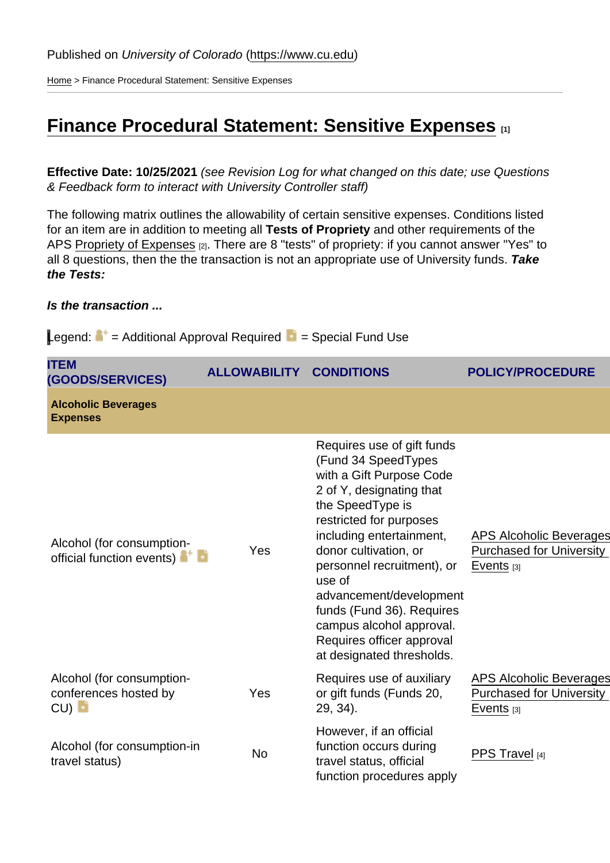[Home](https://www.cu.edu/) > Finance Procedural Statement: Sensitive Expenses

# [Finance Procedural Statement: Sensitive Expenses](https://www.cu.edu/controller/procedures/finance-procedural-statements/finance-procedural-statement-sensitive-expenses)  $\qquad$ <sub>[1]</sub>

Effective Date: 10/25/2021 (see Revision Log for what changed on this date; use Questions & Feedback form to interact with University Controller staff)

The following matrix outlines the allowability of certain sensitive expenses. Conditions listed for an item are in addition to meeting all Tests of Propriety and other requirements of the APS [Propriety of Expenses](https://www.cu.edu/ope/aps/4015) [2]. There are 8 "tests" of propriety: if you cannot answer "Yes" to all 8 questions, then the the transaction is not an appropriate use of University funds. Take the Tests:

Is the transaction ...

| Legend:<br>= Additional Approval Required                 |                     | = Special Fund Use                                                                                                                                                                                                                                                                                                                                                                                  |                                                                                   |
|-----------------------------------------------------------|---------------------|-----------------------------------------------------------------------------------------------------------------------------------------------------------------------------------------------------------------------------------------------------------------------------------------------------------------------------------------------------------------------------------------------------|-----------------------------------------------------------------------------------|
| <b>ITEM</b><br>(GOODS/SERVICES)                           | <b>ALLOWABILITY</b> | <b>CONDITIONS</b>                                                                                                                                                                                                                                                                                                                                                                                   | POLICY/PROCEDURE                                                                  |
| <b>Alcoholic Beverages</b><br><b>Expenses</b>             |                     |                                                                                                                                                                                                                                                                                                                                                                                                     |                                                                                   |
| Alcohol (for consumption-<br>official function events)    | Yes                 | Requires use of gift funds<br>(Fund 34 SpeedTypes<br>with a Gift Purpose Code<br>2 of Y, designating that<br>the SpeedType is<br>restricted for purposes<br>including entertainment,<br>donor cultivation, or<br>personnel recruitment), or<br>use of<br>advancement/development<br>funds (Fund 36). Requires<br>campus alcohol approval.<br>Requires officer approval<br>at designated thresholds. | <b>APS Alcoholic Beverages</b><br><b>Purchased for University</b><br>Events $[3]$ |
| Alcohol (for consumption-<br>conferences hosted by<br>CU) | Yes                 | Requires use of auxiliary<br>or gift funds (Funds 20,<br>29, 34).                                                                                                                                                                                                                                                                                                                                   | <b>APS Alcoholic Beverages</b><br><b>Purchased for University</b><br>Events $[3]$ |
| Alcohol (for consumption-in<br>travel status)             | <b>No</b>           | However, if an official<br>function occurs during<br>travel status, official<br>function procedures apply                                                                                                                                                                                                                                                                                           | PPS Travel [4]                                                                    |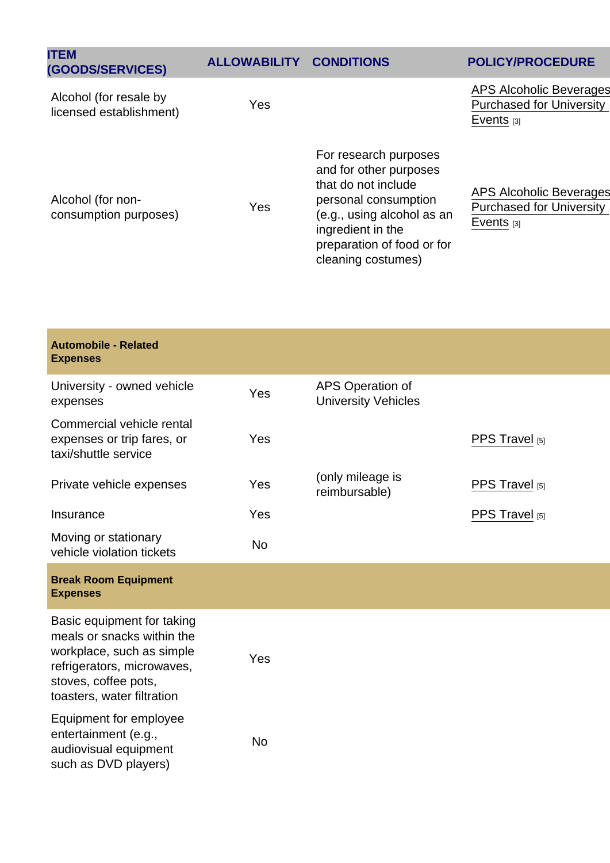| <b>ITEM</b><br>(GOODS/SERVICES)                   | <b>ALLOWABILITY</b> | <b>CONDITIONS</b>                                                                                                                                                                                     | POLICY/PROCEDURE                                                           |
|---------------------------------------------------|---------------------|-------------------------------------------------------------------------------------------------------------------------------------------------------------------------------------------------------|----------------------------------------------------------------------------|
| Alcohol (for resale by<br>licensed establishment) | Yes                 |                                                                                                                                                                                                       | APS Alcoholic Beverages<br><b>Purchased for University</b><br>Events $[3]$ |
| Alcohol (for non-<br>consumption purposes)        | Yes                 | For research purposes<br>and for other purposes<br>that do not include<br>personal consumption<br>(e.g., using alcohol as an<br>ingredient in the<br>preparation of food or for<br>cleaning costumes) | APS Alcoholic Beverages<br><b>Purchased for University</b><br>Events $[3]$ |

| Automobile - Related<br><b>Expenses</b>                                                                                                                                   |           |                                                |                |
|---------------------------------------------------------------------------------------------------------------------------------------------------------------------------|-----------|------------------------------------------------|----------------|
| University - owned vehicle<br>expenses                                                                                                                                    | Yes       | APS Operation of<br><b>University Vehicles</b> |                |
| Commercial vehicle rental<br>expenses or trip fares, or<br>taxi/shuttle service                                                                                           | Yes       |                                                | PPS Travel [5] |
| Private vehicle expenses                                                                                                                                                  | Yes       | (only mileage is<br>reimbursable)              | PPS Travel [5] |
| Insurance                                                                                                                                                                 | Yes       |                                                | PPS Travel [5] |
| Moving or stationary<br>vehicle violation tickets                                                                                                                         | <b>No</b> |                                                |                |
| <b>Break Room Equipment</b><br><b>Expenses</b>                                                                                                                            |           |                                                |                |
| Basic equipment for taking<br>meals or snacks within the<br>workplace, such as simple<br>refrigerators, microwaves,<br>stoves, coffee pots,<br>toasters, water filtration | Yes       |                                                |                |
| Equipment for employee<br>entertainment (e.g.,<br>audiovisual equipment<br>such as DVD players)                                                                           | <b>No</b> |                                                |                |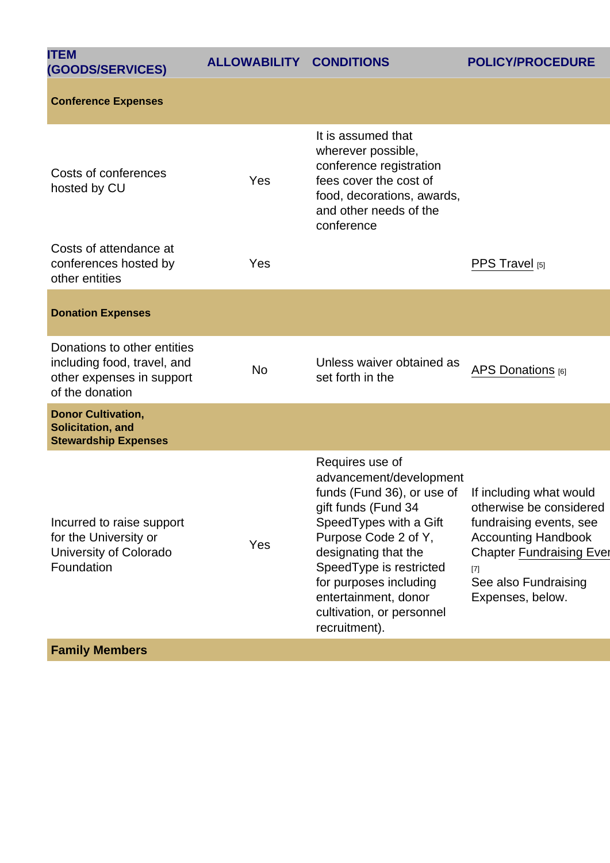| <b>ITEM</b><br>(GOODS/SERVICES)                                                                            | <b>ALLOWABILITY</b> | <b>CONDITIONS</b>                                                                                                                                                                                                                                                                                     | POLICY/PROCEDURE                                                                                                                                                                                       |
|------------------------------------------------------------------------------------------------------------|---------------------|-------------------------------------------------------------------------------------------------------------------------------------------------------------------------------------------------------------------------------------------------------------------------------------------------------|--------------------------------------------------------------------------------------------------------------------------------------------------------------------------------------------------------|
| <b>Conference Expenses</b>                                                                                 |                     |                                                                                                                                                                                                                                                                                                       |                                                                                                                                                                                                        |
| Costs of conferences<br>hosted by CU                                                                       | Yes                 | It is assumed that<br>wherever possible,<br>conference registration<br>fees cover the cost of<br>food, decorations, awards,<br>and other needs of the<br>conference                                                                                                                                   |                                                                                                                                                                                                        |
| Costs of attendance at<br>conferences hosted by<br>other entities                                          | Yes                 |                                                                                                                                                                                                                                                                                                       | PPS Travel [5]                                                                                                                                                                                         |
| <b>Donation Expenses</b>                                                                                   |                     |                                                                                                                                                                                                                                                                                                       |                                                                                                                                                                                                        |
| Donations to other entities<br>including food, travel, and<br>other expenses in support<br>of the donation | <b>No</b>           | Unless waiver obtained as<br>set forth in the                                                                                                                                                                                                                                                         | APS Donations [6]                                                                                                                                                                                      |
| Donor Cultivation,<br>Solicitation, and<br><b>Stewardship Expenses</b>                                     |                     |                                                                                                                                                                                                                                                                                                       |                                                                                                                                                                                                        |
| Incurred to raise support<br>for the University or<br>University of Colorado<br>Foundation                 | Yes                 | Requires use of<br>advancement/development<br>funds (Fund 36), or use of<br>gift funds (Fund 34<br>Speed Types with a Gift<br>Purpose Code 2 of Y,<br>designating that the<br>SpeedType is restricted<br>for purposes including<br>entertainment, donor<br>cultivation, or personnel<br>recruitment). | If including what would<br>otherwise be considered<br>fundraising events, see<br><b>Accounting Handbook</b><br><b>Chapter Fundraising Ever</b><br>$^{[7]}$<br>See also Fundraising<br>Expenses, below. |
| <b>Family Members</b>                                                                                      |                     |                                                                                                                                                                                                                                                                                                       |                                                                                                                                                                                                        |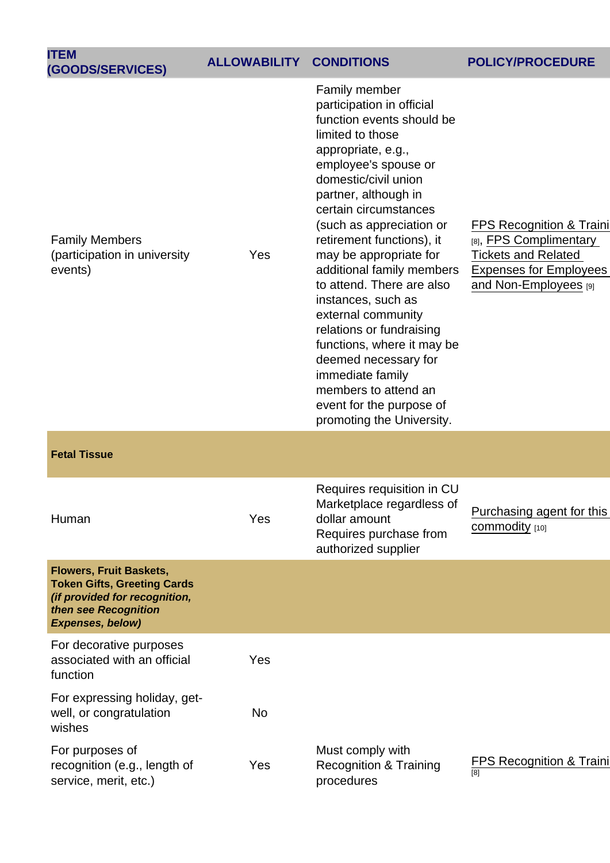| <b>ITEM</b>                                                                                                                                |                     |                                                                                                                                                                                                                                                                                                                                                                                                                                                                                                                                                                                                    |                                                                                                                                                       |
|--------------------------------------------------------------------------------------------------------------------------------------------|---------------------|----------------------------------------------------------------------------------------------------------------------------------------------------------------------------------------------------------------------------------------------------------------------------------------------------------------------------------------------------------------------------------------------------------------------------------------------------------------------------------------------------------------------------------------------------------------------------------------------------|-------------------------------------------------------------------------------------------------------------------------------------------------------|
| (GOODS/SERVICES)                                                                                                                           | <b>ALLOWABILITY</b> | <b>CONDITIONS</b>                                                                                                                                                                                                                                                                                                                                                                                                                                                                                                                                                                                  | POLICY/PROCEDURE                                                                                                                                      |
| <b>Family Members</b><br>(participation in university<br>events)                                                                           | Yes                 | Family member<br>participation in official<br>function events should be<br>limited to those<br>appropriate, e.g.,<br>employee's spouse or<br>domestic/civil union<br>partner, although in<br>certain circumstances<br>(such as appreciation or<br>retirement functions), it<br>may be appropriate for<br>additional family members<br>to attend. There are also<br>instances, such as<br>external community<br>relations or fundraising<br>functions, where it may be<br>deemed necessary for<br>immediate family<br>members to attend an<br>event for the purpose of<br>promoting the University. | <b>FPS Recognition &amp; Traini</b><br>[8], FPS Complimentary<br><b>Tickets and Related</b><br><b>Expenses for Employees</b><br>and Non-Employees [9] |
| <b>Fetal Tissue</b>                                                                                                                        |                     |                                                                                                                                                                                                                                                                                                                                                                                                                                                                                                                                                                                                    |                                                                                                                                                       |
| Human                                                                                                                                      | Yes                 | Requires requisition in CU<br>Marketplace regardless of<br>dollar amount<br>Requires purchase from<br>authorized supplier                                                                                                                                                                                                                                                                                                                                                                                                                                                                          | Purchasing agent for this<br>commodity [10]                                                                                                           |
| Flowers, Fruit Baskets,<br><b>Token Gifts, Greeting Cards</b><br>(if provided for recognition,<br>then see Recognition<br>Expenses, below) |                     |                                                                                                                                                                                                                                                                                                                                                                                                                                                                                                                                                                                                    |                                                                                                                                                       |
| For decorative purposes<br>associated with an official<br>function                                                                         | Yes                 |                                                                                                                                                                                                                                                                                                                                                                                                                                                                                                                                                                                                    |                                                                                                                                                       |
| For expressing holiday, get-<br>well, or congratulation<br>wishes                                                                          | <b>No</b>           |                                                                                                                                                                                                                                                                                                                                                                                                                                                                                                                                                                                                    |                                                                                                                                                       |
| For purposes of<br>recognition (e.g., length of<br>service, merit, etc.)                                                                   | Yes                 | Must comply with<br><b>Recognition &amp; Training</b><br>procedures                                                                                                                                                                                                                                                                                                                                                                                                                                                                                                                                | <b>FPS Recognition &amp; Traini</b><br>[8]                                                                                                            |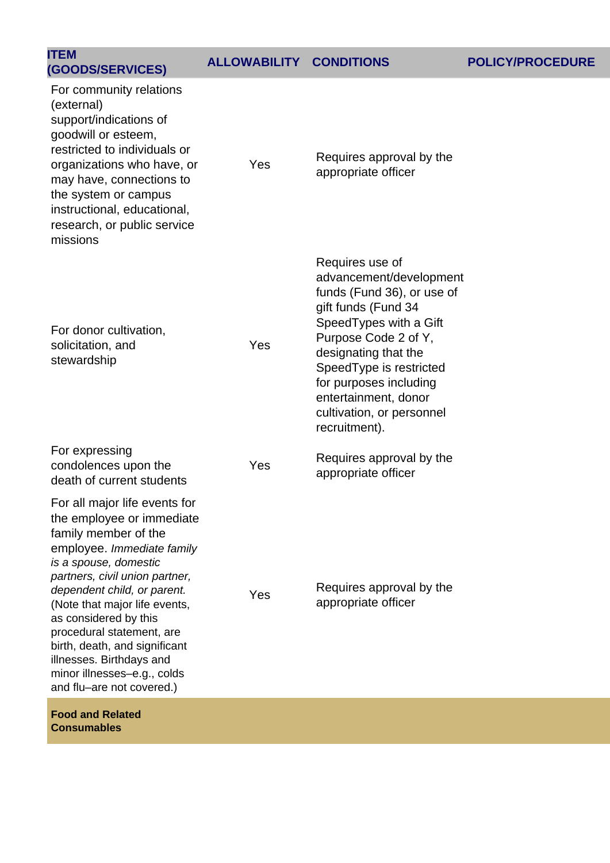| <b>ITEM</b><br>(GOODS/SERVICES)                                                                                                                                                                                                                                                                                                                                                                                            | <b>ALLOWABILITY CONDITIONS</b> |                                                                                                                                                                                                                                                                                                       | <b>POLICY/PROCEDURE</b> |
|----------------------------------------------------------------------------------------------------------------------------------------------------------------------------------------------------------------------------------------------------------------------------------------------------------------------------------------------------------------------------------------------------------------------------|--------------------------------|-------------------------------------------------------------------------------------------------------------------------------------------------------------------------------------------------------------------------------------------------------------------------------------------------------|-------------------------|
| For community relations<br>(external)<br>support/indications of<br>goodwill or esteem,<br>restricted to individuals or<br>organizations who have, or<br>may have, connections to<br>the system or campus<br>instructional, educational,<br>research, or public service<br>missions                                                                                                                                         | Yes                            | Requires approval by the<br>appropriate officer                                                                                                                                                                                                                                                       |                         |
| For donor cultivation,<br>solicitation, and<br>stewardship                                                                                                                                                                                                                                                                                                                                                                 | Yes                            | Requires use of<br>advancement/development<br>funds (Fund 36), or use of<br>gift funds (Fund 34<br>Speed Types with a Gift<br>Purpose Code 2 of Y,<br>designating that the<br>SpeedType is restricted<br>for purposes including<br>entertainment, donor<br>cultivation, or personnel<br>recruitment). |                         |
| For expressing<br>condolences upon the<br>death of current students                                                                                                                                                                                                                                                                                                                                                        | Yes                            | Requires approval by the<br>appropriate officer                                                                                                                                                                                                                                                       |                         |
| For all major life events for<br>the employee or immediate<br>family member of the<br>employee. Immediate family<br>is a spouse, domestic<br>partners, civil union partner,<br>dependent child, or parent.<br>(Note that major life events,<br>as considered by this<br>procedural statement, are<br>birth, death, and significant<br>illnesses. Birthdays and<br>minor illnesses-e.g., colds<br>and flu-are not covered.) | Yes                            | Requires approval by the<br>appropriate officer                                                                                                                                                                                                                                                       |                         |

**Food and Related Consumables**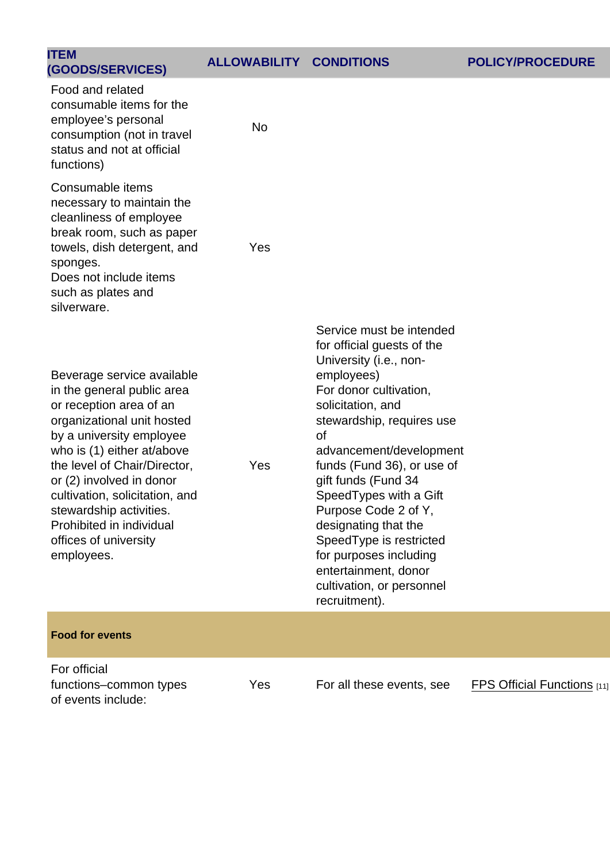| <b>ITEM</b><br>(GOODS/SERVICES)                                                                                                                                                                                                                                                                                                                                         | <b>ALLOWABILITY</b> | <b>CONDITIONS</b>                                                                                                                                                                                                                                                                                                                                                                                                                                                      | <b>POLICY/PROCEDURE</b>     |
|-------------------------------------------------------------------------------------------------------------------------------------------------------------------------------------------------------------------------------------------------------------------------------------------------------------------------------------------------------------------------|---------------------|------------------------------------------------------------------------------------------------------------------------------------------------------------------------------------------------------------------------------------------------------------------------------------------------------------------------------------------------------------------------------------------------------------------------------------------------------------------------|-----------------------------|
| Food and related<br>consumable items for the<br>employee's personal<br>consumption (not in travel<br>status and not at official<br>functions)                                                                                                                                                                                                                           | No                  |                                                                                                                                                                                                                                                                                                                                                                                                                                                                        |                             |
| Consumable items<br>necessary to maintain the<br>cleanliness of employee<br>break room, such as paper<br>towels, dish detergent, and<br>sponges.<br>Does not include items<br>such as plates and<br>silverware.                                                                                                                                                         | Yes                 |                                                                                                                                                                                                                                                                                                                                                                                                                                                                        |                             |
| Beverage service available<br>in the general public area<br>or reception area of an<br>organizational unit hosted<br>by a university employee<br>who is (1) either at/above<br>the level of Chair/Director,<br>or (2) involved in donor<br>cultivation, solicitation, and<br>stewardship activities.<br>Prohibited in individual<br>offices of university<br>employees. | Yes                 | Service must be intended<br>for official guests of the<br>University (i.e., non-<br>employees)<br>For donor cultivation,<br>solicitation, and<br>stewardship, requires use<br>of<br>advancement/development<br>funds (Fund 36), or use of<br>gift funds (Fund 34<br>Speed Types with a Gift<br>Purpose Code 2 of Y,<br>designating that the<br>SpeedType is restricted<br>for purposes including<br>entertainment, donor<br>cultivation, or personnel<br>recruitment). |                             |
| Food for events                                                                                                                                                                                                                                                                                                                                                         |                     |                                                                                                                                                                                                                                                                                                                                                                                                                                                                        |                             |
| For official<br>functions-common types<br>of events include:                                                                                                                                                                                                                                                                                                            | Yes                 | For all these events, see                                                                                                                                                                                                                                                                                                                                                                                                                                              | FPS Official Functions [11] |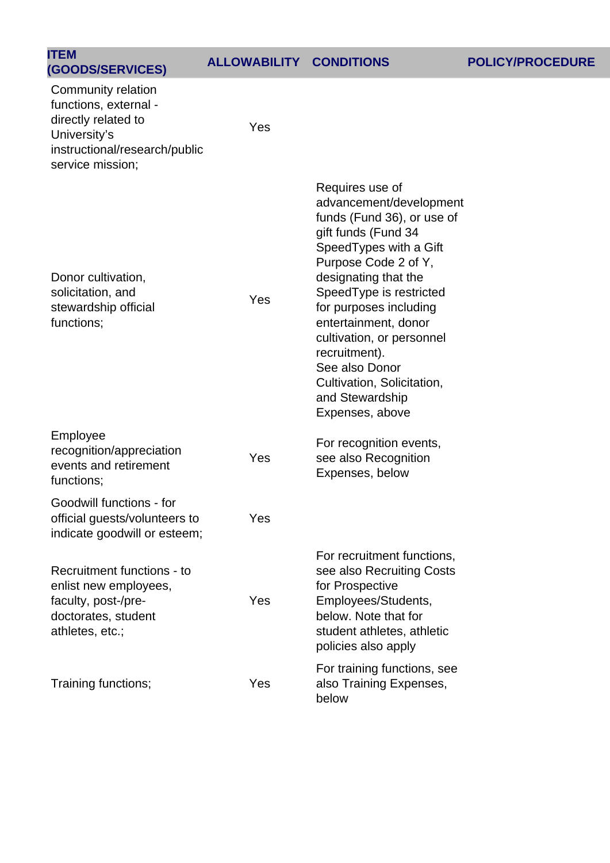### **(GOODS/SERVICES) ALLOWABILITY CONDITIONS POLICY/PROCEDURE**

| <b>ITEM</b><br>(GOODS/SERVICES)                                                                                                         | <b>ALLOWABILITY CONDITIONS</b> |                                                                                                                                                                                                                                                                                                                                                                                             |
|-----------------------------------------------------------------------------------------------------------------------------------------|--------------------------------|---------------------------------------------------------------------------------------------------------------------------------------------------------------------------------------------------------------------------------------------------------------------------------------------------------------------------------------------------------------------------------------------|
| Community relation<br>functions, external -<br>directly related to<br>University's<br>instructional/research/public<br>service mission; | Yes                            |                                                                                                                                                                                                                                                                                                                                                                                             |
| Donor cultivation,<br>solicitation, and<br>stewardship official<br>functions;                                                           | Yes                            | Requires use of<br>advancement/development<br>funds (Fund 36), or use of<br>gift funds (Fund 34<br>Speed Types with a Gift<br>Purpose Code 2 of Y,<br>designating that the<br>SpeedType is restricted<br>for purposes including<br>entertainment, donor<br>cultivation, or personnel<br>recruitment).<br>See also Donor<br>Cultivation, Solicitation,<br>and Stewardship<br>Expenses, above |
| Employee<br>recognition/appreciation<br>events and retirement<br>functions;                                                             | Yes                            | For recognition events,<br>see also Recognition<br>Expenses, below                                                                                                                                                                                                                                                                                                                          |
| Goodwill functions - for<br>official guests/volunteers to<br>indicate goodwill or esteem;                                               | Yes                            |                                                                                                                                                                                                                                                                                                                                                                                             |
| Recruitment functions - to<br>enlist new employees,<br>faculty, post-/pre-<br>doctorates, student<br>athletes, etc.;                    | Yes                            | For recruitment functions,<br>see also Recruiting Costs<br>for Prospective<br>Employees/Students,<br>below. Note that for<br>student athletes, athletic<br>policies also apply                                                                                                                                                                                                              |
| Training functions;                                                                                                                     | Yes                            | For training functions, see<br>also Training Expenses,<br>below                                                                                                                                                                                                                                                                                                                             |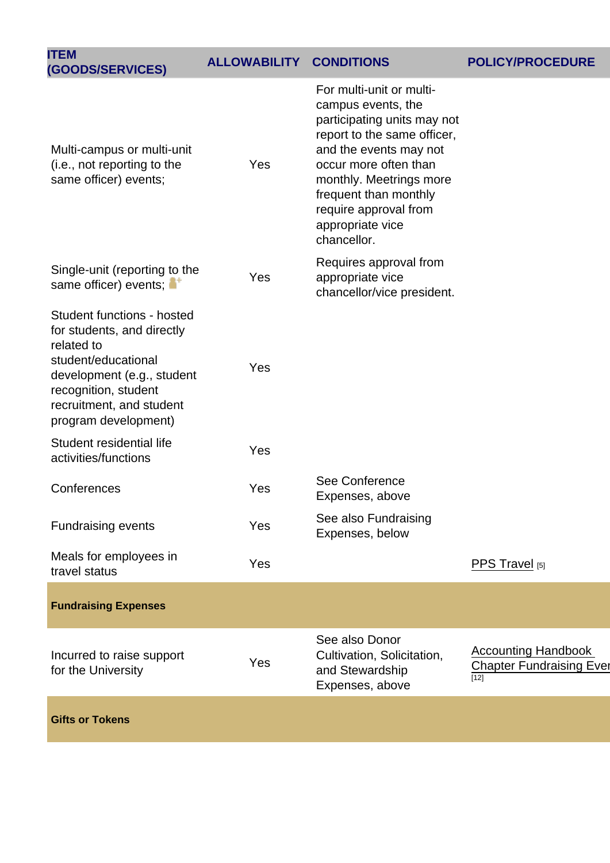| <b>ITEM</b><br>(GOODS/SERVICES)                                                                                                                                                                         | <b>ALLOWABILITY</b> | <b>CONDITIONS</b>                                                                                                                                                                                                                                                               | POLICY/PROCEDURE                                                        |
|---------------------------------------------------------------------------------------------------------------------------------------------------------------------------------------------------------|---------------------|---------------------------------------------------------------------------------------------------------------------------------------------------------------------------------------------------------------------------------------------------------------------------------|-------------------------------------------------------------------------|
| Multi-campus or multi-unit<br>(i.e., not reporting to the<br>same officer) events;                                                                                                                      | Yes                 | For multi-unit or multi-<br>campus events, the<br>participating units may not<br>report to the same officer,<br>and the events may not<br>occur more often than<br>monthly. Meetrings more<br>frequent than monthly<br>require approval from<br>appropriate vice<br>chancellor. |                                                                         |
| Single-unit (reporting to the<br>same officer) events;                                                                                                                                                  | Yes                 | Requires approval from<br>appropriate vice<br>chancellor/vice president.                                                                                                                                                                                                        |                                                                         |
| Student functions - hosted<br>for students, and directly<br>related to<br>student/educational<br>development (e.g., student<br>recognition, student<br>recruitment, and student<br>program development) | Yes                 |                                                                                                                                                                                                                                                                                 |                                                                         |
| Student residential life<br>activities/functions                                                                                                                                                        | Yes                 |                                                                                                                                                                                                                                                                                 |                                                                         |
| Conferences                                                                                                                                                                                             | Yes                 | See Conference<br>Expenses, above                                                                                                                                                                                                                                               |                                                                         |
| <b>Fundraising events</b>                                                                                                                                                                               | Yes                 | See also Fundraising<br>Expenses, below                                                                                                                                                                                                                                         |                                                                         |
| Meals for employees in<br>travel status                                                                                                                                                                 | Yes                 |                                                                                                                                                                                                                                                                                 | PPS Travel [5]                                                          |
| <b>Fundraising Expenses</b>                                                                                                                                                                             |                     |                                                                                                                                                                                                                                                                                 |                                                                         |
| Incurred to raise support<br>for the University                                                                                                                                                         | Yes                 | See also Donor<br>Cultivation, Solicitation,<br>and Stewardship<br>Expenses, above                                                                                                                                                                                              | <b>Accounting Handbook</b><br><b>Chapter Fundraising Ever</b><br>$[12]$ |
| <b>Gifts or Tokens</b>                                                                                                                                                                                  |                     |                                                                                                                                                                                                                                                                                 |                                                                         |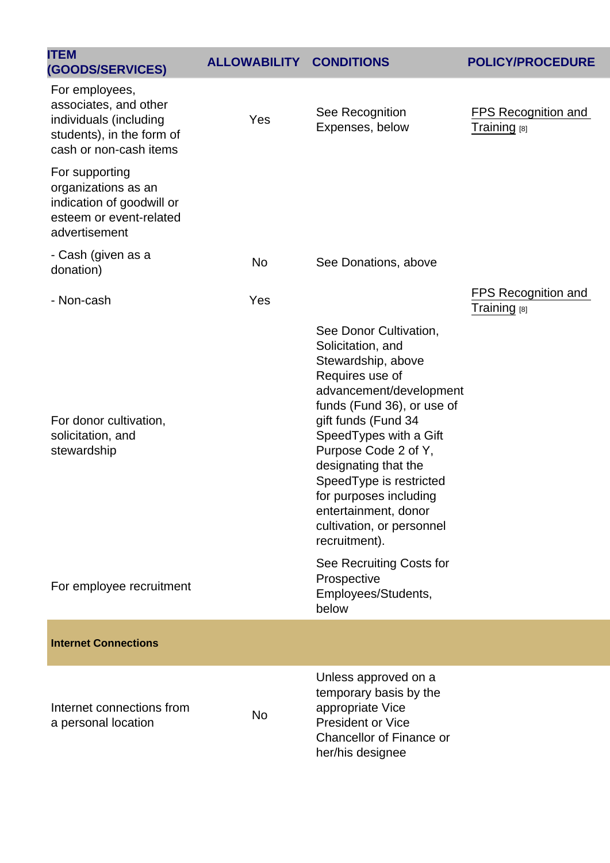| <b>ITEM</b><br>(GOODS/SERVICES)                                                                                          | <b>ALLOWABILITY</b> | <b>CONDITIONS</b>                                                                                                                                                                                                                                                                                                                                                         | <b>POLICY/PROCEDURE</b>                        |
|--------------------------------------------------------------------------------------------------------------------------|---------------------|---------------------------------------------------------------------------------------------------------------------------------------------------------------------------------------------------------------------------------------------------------------------------------------------------------------------------------------------------------------------------|------------------------------------------------|
| For employees,<br>associates, and other<br>individuals (including<br>students), in the form of<br>cash or non-cash items | Yes                 | See Recognition<br>Expenses, below                                                                                                                                                                                                                                                                                                                                        | FPS Recognition and<br>Training <sub>[8]</sub> |
| For supporting<br>organizations as an<br>indication of goodwill or<br>esteem or event-related<br>advertisement           |                     |                                                                                                                                                                                                                                                                                                                                                                           |                                                |
| - Cash (given as a<br>donation)                                                                                          | <b>No</b>           | See Donations, above                                                                                                                                                                                                                                                                                                                                                      |                                                |
| - Non-cash                                                                                                               | Yes                 |                                                                                                                                                                                                                                                                                                                                                                           | FPS Recognition and<br>Training [8]            |
| For donor cultivation,<br>solicitation, and<br>stewardship                                                               |                     | See Donor Cultivation,<br>Solicitation, and<br>Stewardship, above<br>Requires use of<br>advancement/development<br>funds (Fund 36), or use of<br>gift funds (Fund 34<br>SpeedTypes with a Gift<br>Purpose Code 2 of Y,<br>designating that the<br>SpeedType is restricted<br>for purposes including<br>entertainment, donor<br>cultivation, or personnel<br>recruitment). |                                                |
| For employee recruitment                                                                                                 |                     | See Recruiting Costs for<br>Prospective<br>Employees/Students,<br>below                                                                                                                                                                                                                                                                                                   |                                                |
| <b>Internet Connections</b>                                                                                              |                     |                                                                                                                                                                                                                                                                                                                                                                           |                                                |
| Internet connections from<br>a personal location                                                                         | <b>No</b>           | Unless approved on a<br>temporary basis by the<br>appropriate Vice<br><b>President or Vice</b><br><b>Chancellor of Finance or</b><br>her/his designee                                                                                                                                                                                                                     |                                                |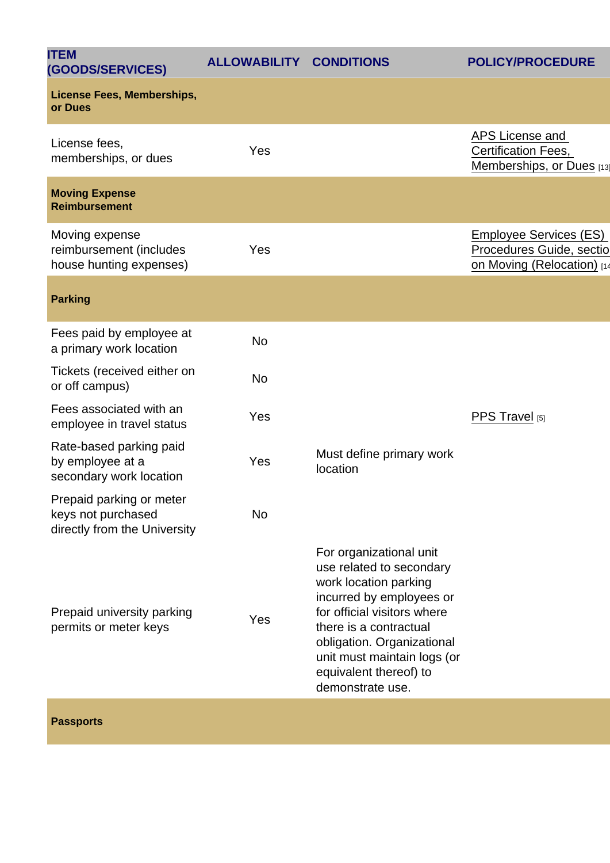| <b>ALLOWABILITY</b> | <b>CONDITIONS</b>                                                                                                                                                                                                                                                            | POLICY/PROCEDURE                                                                        |
|---------------------|------------------------------------------------------------------------------------------------------------------------------------------------------------------------------------------------------------------------------------------------------------------------------|-----------------------------------------------------------------------------------------|
|                     |                                                                                                                                                                                                                                                                              |                                                                                         |
| Yes                 |                                                                                                                                                                                                                                                                              | APS License and<br>Certification Fees,<br>Memberships, or Dues [13]                     |
|                     |                                                                                                                                                                                                                                                                              |                                                                                         |
| Yes                 |                                                                                                                                                                                                                                                                              | <b>Employee Services (ES)</b><br>Procedures Guide, sectio<br>on Moving (Relocation) [14 |
|                     |                                                                                                                                                                                                                                                                              |                                                                                         |
| <b>No</b>           |                                                                                                                                                                                                                                                                              |                                                                                         |
| <b>No</b>           |                                                                                                                                                                                                                                                                              |                                                                                         |
| Yes                 |                                                                                                                                                                                                                                                                              | PPS Travel [5]                                                                          |
| Yes                 | Must define primary work<br>location                                                                                                                                                                                                                                         |                                                                                         |
| No                  |                                                                                                                                                                                                                                                                              |                                                                                         |
| Yes                 | For organizational unit<br>use related to secondary<br>work location parking<br>incurred by employees or<br>for official visitors where<br>there is a contractual<br>obligation. Organizational<br>unit must maintain logs (or<br>equivalent thereof) to<br>demonstrate use. |                                                                                         |
|                     |                                                                                                                                                                                                                                                                              |                                                                                         |

Passports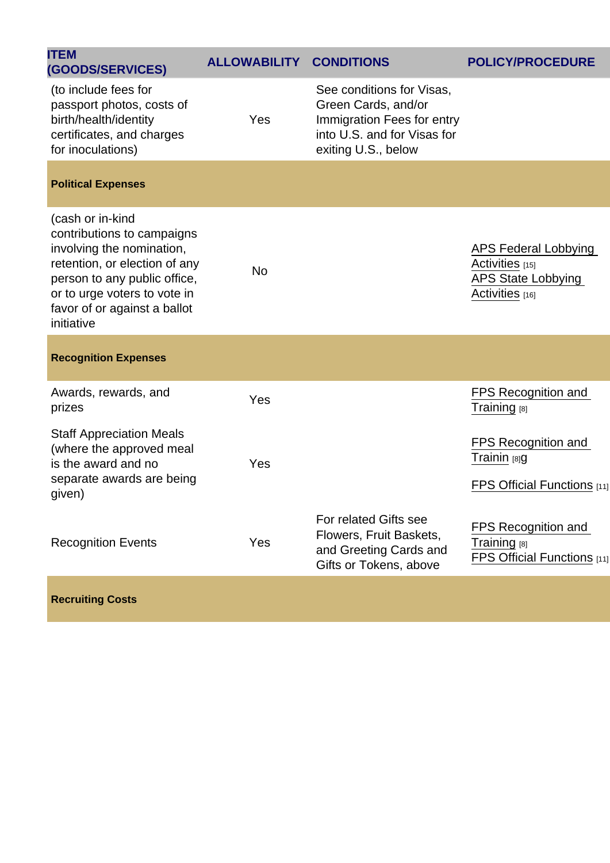| <b>ITEM</b><br>(GOODS/SERVICES)                                                                                                                                                                                            | <b>ALLOWABILITY</b> | <b>CONDITIONS</b>                                                                                                                    | <b>POLICY/PROCEDURE</b>                                                          |
|----------------------------------------------------------------------------------------------------------------------------------------------------------------------------------------------------------------------------|---------------------|--------------------------------------------------------------------------------------------------------------------------------------|----------------------------------------------------------------------------------|
| (to include fees for<br>passport photos, costs of<br>birth/health/identity<br>certificates, and charges<br>for inoculations)                                                                                               | Yes                 | See conditions for Visas,<br>Green Cards, and/or<br>Immigration Fees for entry<br>into U.S. and for Visas for<br>exiting U.S., below |                                                                                  |
| <b>Political Expenses</b>                                                                                                                                                                                                  |                     |                                                                                                                                      |                                                                                  |
| (cash or in-kind<br>contributions to campaigns<br>involving the nomination,<br>retention, or election of any<br>person to any public office,<br>or to urge voters to vote in<br>favor of or against a ballot<br>initiative | <b>No</b>           |                                                                                                                                      | APS Federal Lobbying<br>Activities [15]<br>APS State Lobbying<br>Activities [16] |
| <b>Recognition Expenses</b>                                                                                                                                                                                                |                     |                                                                                                                                      |                                                                                  |
| Awards, rewards, and<br>prizes                                                                                                                                                                                             | Yes                 |                                                                                                                                      | FPS Recognition and<br>Training [8]                                              |
| <b>Staff Appreciation Meals</b><br>(where the approved meal<br>is the award and no<br>separate awards are being<br>given)                                                                                                  | Yes                 |                                                                                                                                      | FPS Recognition and<br>Trainin [8]g<br>FPS Official Functions $[11]$             |
| <b>Recognition Events</b>                                                                                                                                                                                                  | Yes                 | For related Gifts see<br>Flowers, Fruit Baskets,<br>and Greeting Cards and<br>Gifts or Tokens, above                                 | <b>FPS Recognition and</b><br>Training [8]<br>FPS Official Functions [11]        |
| <b>Recruiting Costs</b>                                                                                                                                                                                                    |                     |                                                                                                                                      |                                                                                  |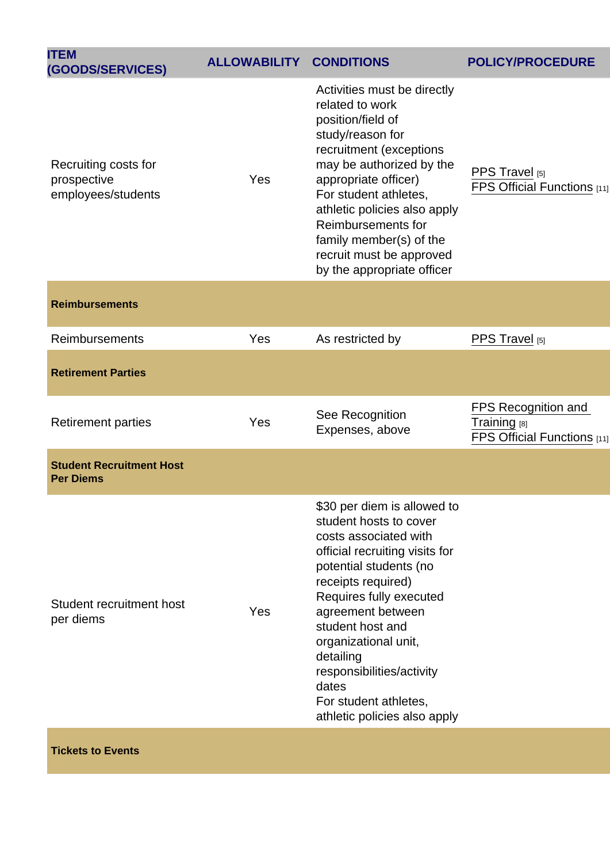| <b>ITEM</b><br>(GOODS/SERVICES)                           | <b>ALLOWABILITY</b> | <b>CONDITIONS</b>                                                                                                                                                                                                                                                                                                                                                        | POLICY/PROCEDURE                                                          |
|-----------------------------------------------------------|---------------------|--------------------------------------------------------------------------------------------------------------------------------------------------------------------------------------------------------------------------------------------------------------------------------------------------------------------------------------------------------------------------|---------------------------------------------------------------------------|
| Recruiting costs for<br>prospective<br>employees/students | Yes                 | Activities must be directly<br>related to work<br>position/field of<br>study/reason for<br>recruitment (exceptions<br>may be authorized by the<br>appropriate officer)<br>For student athletes,<br>athletic policies also apply<br>Reimbursements for<br>family member(s) of the<br>recruit must be approved<br>by the appropriate officer                               | PPS Travel [5]<br>FPS Official Functions [11]                             |
| <b>Reimbursements</b>                                     |                     |                                                                                                                                                                                                                                                                                                                                                                          |                                                                           |
| <b>Reimbursements</b>                                     | Yes                 | As restricted by                                                                                                                                                                                                                                                                                                                                                         | PPS Travel [5]                                                            |
| <b>Retirement Parties</b>                                 |                     |                                                                                                                                                                                                                                                                                                                                                                          |                                                                           |
| <b>Retirement parties</b>                                 | Yes                 | See Recognition<br>Expenses, above                                                                                                                                                                                                                                                                                                                                       | <b>FPS Recognition and</b><br>Training [8]<br>FPS Official Functions [11] |
| <b>Student Recruitment Host</b><br><b>Per Diems</b>       |                     |                                                                                                                                                                                                                                                                                                                                                                          |                                                                           |
| Student recruitment host<br>per diems                     | Yes                 | \$30 per diem is allowed to<br>student hosts to cover<br>costs associated with<br>official recruiting visits for<br>potential students (no<br>receipts required)<br>Requires fully executed<br>agreement between<br>student host and<br>organizational unit,<br>detailing<br>responsibilities/activity<br>dates<br>For student athletes,<br>athletic policies also apply |                                                                           |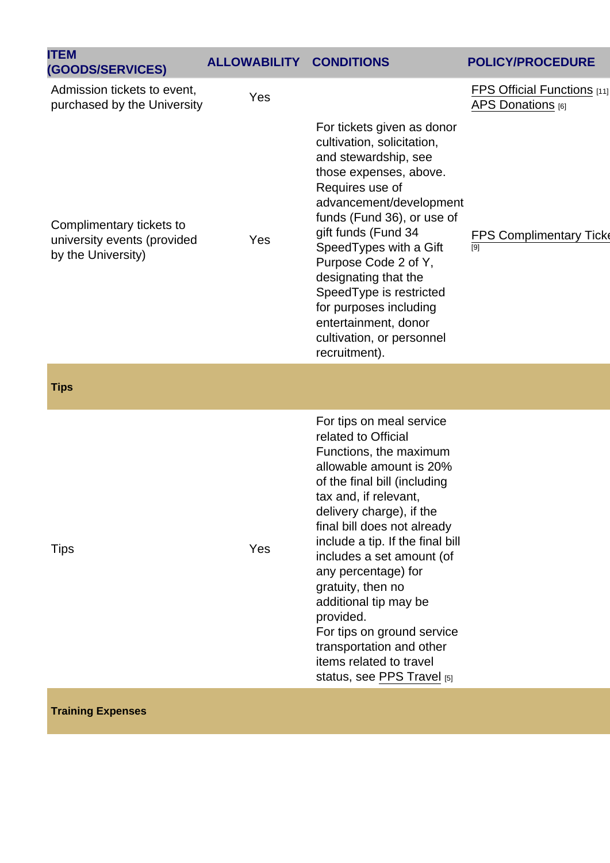| <b>ITEM</b><br>(GOODS/SERVICES)                                               | <b>ALLOWABILITY</b> | <b>CONDITIONS</b>                                                                                                                                                                                                                                                                                                                                                                                                                                                                              | <b>POLICY/PROCEDURE</b>                                 |
|-------------------------------------------------------------------------------|---------------------|------------------------------------------------------------------------------------------------------------------------------------------------------------------------------------------------------------------------------------------------------------------------------------------------------------------------------------------------------------------------------------------------------------------------------------------------------------------------------------------------|---------------------------------------------------------|
| Admission tickets to event,<br>purchased by the University                    | Yes                 |                                                                                                                                                                                                                                                                                                                                                                                                                                                                                                | <b>FPS Official Functions</b> [11]<br>APS Donations [6] |
| Complimentary tickets to<br>university events (provided<br>by the University) | Yes                 | For tickets given as donor<br>cultivation, solicitation,<br>and stewardship, see<br>those expenses, above.<br>Requires use of<br>advancement/development<br>funds (Fund 36), or use of<br>gift funds (Fund 34<br>SpeedTypes with a Gift<br>Purpose Code 2 of Y,<br>designating that the<br>SpeedType is restricted<br>for purposes including<br>entertainment, donor<br>cultivation, or personnel<br>recruitment).                                                                             | <b>FPS Complimentary Ticke</b><br>[9]                   |
| <b>Tips</b>                                                                   |                     |                                                                                                                                                                                                                                                                                                                                                                                                                                                                                                |                                                         |
| Tips                                                                          | Yes                 | For tips on meal service<br>related to Official<br>Functions, the maximum<br>allowable amount is 20%<br>of the final bill (including<br>tax and, if relevant,<br>delivery charge), if the<br>final bill does not already<br>include a tip. If the final bill<br>includes a set amount (of<br>any percentage) for<br>gratuity, then no<br>additional tip may be<br>provided.<br>For tips on ground service<br>transportation and other<br>items related to travel<br>status, see PPS Travel [5] |                                                         |

### Training Expenses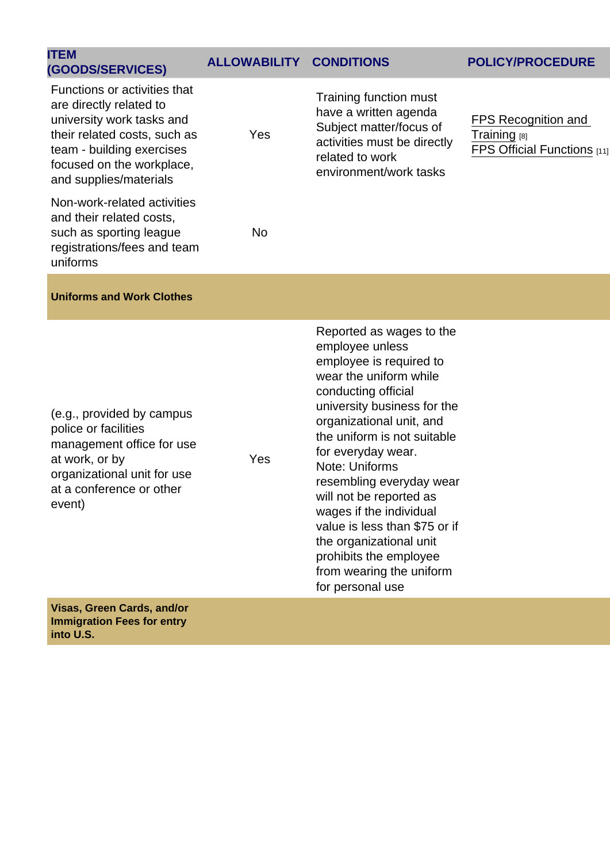| <b>ITEM</b><br>(GOODS/SERVICES)                                                                                                                                                                          | <b>ALLOWABILITY</b> | <b>CONDITIONS</b>                                                                                                                                      | POLICY/PROCEDURE                                                   |
|----------------------------------------------------------------------------------------------------------------------------------------------------------------------------------------------------------|---------------------|--------------------------------------------------------------------------------------------------------------------------------------------------------|--------------------------------------------------------------------|
| Functions or activities that<br>are directly related to<br>university work tasks and<br>their related costs, such as<br>team - building exercises<br>focused on the workplace,<br>and supplies/materials | Yes                 | Training function must<br>have a written agenda<br>Subject matter/focus of<br>activities must be directly<br>related to work<br>environment/work tasks | FPS Recognition and<br>Training [8]<br>FPS Official Functions [11] |
| Non-work-related activities<br>and their related costs,<br>such as sporting league<br>registrations/fees and team<br>uniforms                                                                            | No.                 |                                                                                                                                                        |                                                                    |
|                                                                                                                                                                                                          |                     |                                                                                                                                                        |                                                                    |

(e.g., provided by campus police or facilities management office for use at work, or by organizational unit for use at a conference or other event)

Uniforms and Work Clothes

Yes

Reported as wages to the employee unless employee is required to wear the uniform while conducting official university business for the organizational unit, and the uniform is not suitable for everyday wear. Note: Uniforms resembling everyday wear will not be reported as wages if the individual value is less than \$75 or if the organizational unit prohibits the employee from wearing the uniform for personal use

Visas, Green Cards, and/or Immigration Fees for entry into U.S.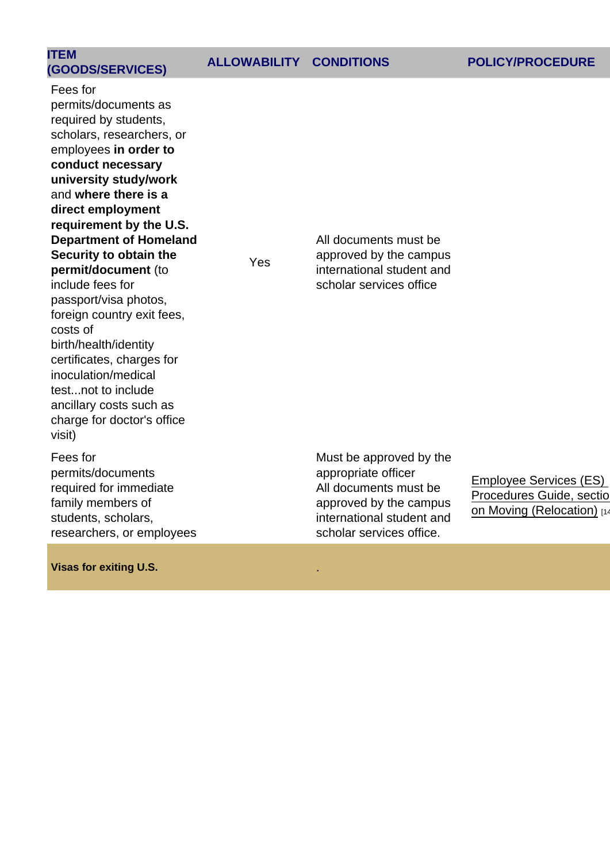| <b>ITEM</b><br>(GOODS/SERVICES) | ALLOWABILITY CONDITIONS | <b>POLICY/PROCEDURE</b> |
|---------------------------------|-------------------------|-------------------------|
|                                 |                         |                         |

Fees for permits/documents as required by students, scholars, researchers, or employees in order to conduct necessary university study/work and where there is a direct employment requirement by the U.S. Department of Homeland Security to obtain the permit/document (to include fees for passport/visa photos, foreign country exit fees, costs of birth/health/identity certificates, charges for inoculation/medical test...not to include ancillary costs such as charge for doctor's office visit)

Fees for permits/documents required for immediate family members of students, scholars, researchers, or employees

Visas for exiting U.S. .

Yes

Must be approved by the appropriate officer All documents must be approved by the campus international student and scholar services office.

All documents must be approved by the campus international student and scholar services office

> [Employee Services \(ES\)](https://www.cu.edu/docs/moving-expense-worksheets)  Procedures Guide, sectio [on Moving \(Relocation\)](https://www.cu.edu/docs/moving-expense-worksheets) [14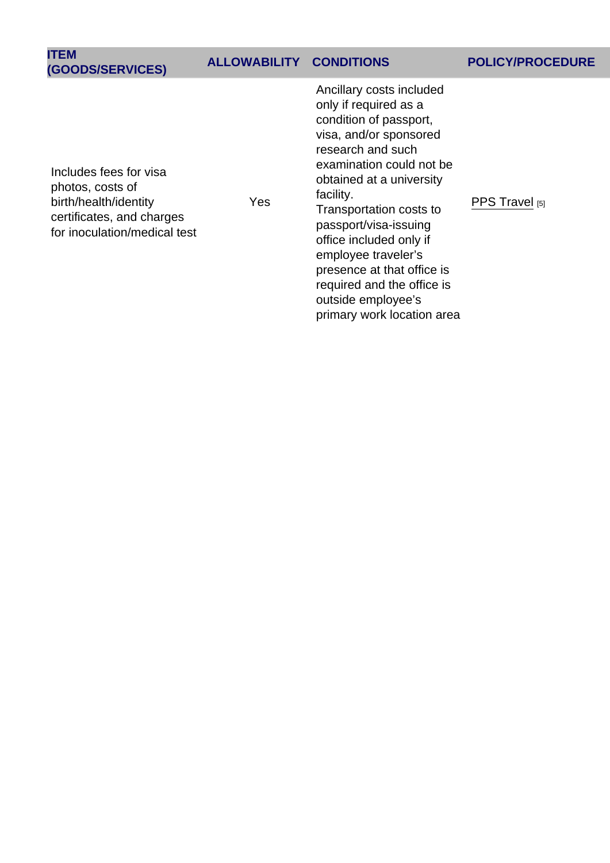| <b>ITEM</b><br>(GOODS/SERVICES)                                                                                                  | <b>ALLOWABILITY</b> | <b>CONDITIONS</b>                                                                                                                                                                                                                                                                                                                                                                                                     | <b>POLICY/PROCEDURE</b> |
|----------------------------------------------------------------------------------------------------------------------------------|---------------------|-----------------------------------------------------------------------------------------------------------------------------------------------------------------------------------------------------------------------------------------------------------------------------------------------------------------------------------------------------------------------------------------------------------------------|-------------------------|
| Includes fees for visa<br>photos, costs of<br>birth/health/identity<br>certificates, and charges<br>for inoculation/medical test | Yes                 | Ancillary costs included<br>only if required as a<br>condition of passport,<br>visa, and/or sponsored<br>research and such<br>examination could not be<br>obtained at a university<br>facility.<br>Transportation costs to<br>passport/visa-issuing<br>office included only if<br>employee traveler's<br>presence at that office is<br>required and the office is<br>outside employee's<br>primary work location area | PPS Travel [5]          |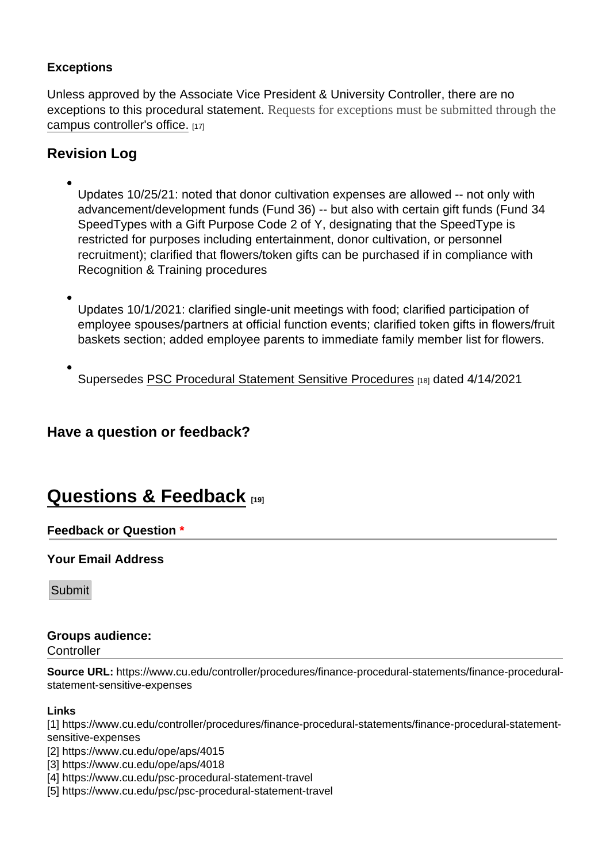#### **Exceptions**

Unless approved by the Associate Vice President & University Controller, there are no exceptions to this procedural statement. Requests for exceptions must be submitted through the [campus controller's office.](https://www.cu.edu/controller/campus-controllers-finance-offices) [17]

Revision Log

Updates 10/25/21: noted that donor cultivation expenses are allowed -- not only with advancement/development funds (Fund 36) -- but also with certain gift funds (Fund 34 SpeedTypes with a Gift Purpose Code 2 of Y, designating that the SpeedType is restricted for purposes including entertainment, donor cultivation, or personnel recruitment); clarified that flowers/token gifts can be purchased if in compliance with Recognition & Training procedures

Updates 10/1/2021: clarified single-unit meetings with food; clarified participation of employee spouses/partners at official function events; clarified token gifts in flowers/fruit baskets section; added employee parents to immediate family member list for flowers.

Supersedes [PSC Procedural Statement Sensitive Procedures](https://www.cu.edu/psc/policies/psc-procedural-statement-sensitive-expenses) [18] dated 4/14/2021

Have a question or feedback?

## [Questions & Feedback](https://www.cu.edu/controller/forms/questions-feedback-0) [19]

#### Feedback or Question \*

Your Email Address

Submit

#### Groups audience: **Controller**

Source URL: https://www.cu.edu/controller/procedures/finance-procedural-statements/finance-proceduralstatement-sensitive-expenses

Links

[1] https://www.cu.edu/controller/procedures/finance-procedural-statements/finance-procedural-statementsensitive-expenses

[2] https://www.cu.edu/ope/aps/4015

[3] https://www.cu.edu/ope/aps/4018

[4] https://www.cu.edu/psc-procedural-statement-travel

[5] https://www.cu.edu/psc/psc-procedural-statement-travel